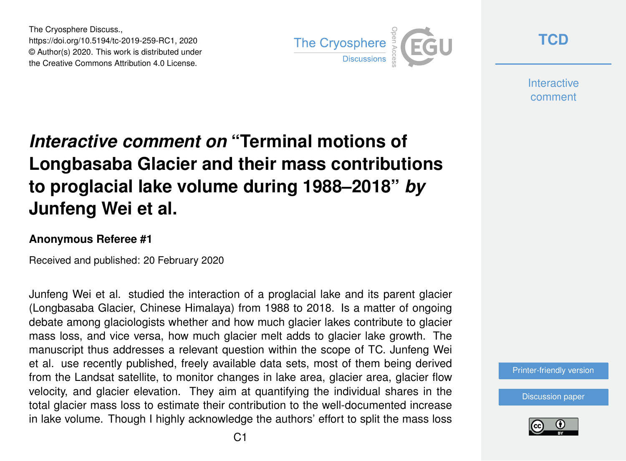The Cryosphere Discuss., https://doi.org/10.5194/tc-2019-259-RC1, 2020 © Author(s) 2020. This work is distributed under the Creative Commons Attribution 4.0 License.



**[TCD](https://www.the-cryosphere-discuss.net/)**

**Interactive** comment

# *Interactive comment on* **"Terminal motions of Longbasaba Glacier and their mass contributions to proglacial lake volume during 1988–2018"** *by* **Junfeng Wei et al.**

#### **Anonymous Referee #1**

Received and published: 20 February 2020

Junfeng Wei et al. studied the interaction of a proglacial lake and its parent glacier (Longbasaba Glacier, Chinese Himalaya) from 1988 to 2018. Is a matter of ongoing debate among glaciologists whether and how much glacier lakes contribute to glacier mass loss, and vice versa, how much glacier melt adds to glacier lake growth. The manuscript thus addresses a relevant question within the scope of TC. Junfeng Wei et al. use recently published, freely available data sets, most of them being derived from the Landsat satellite, to monitor changes in lake area, glacier area, glacier flow velocity, and glacier elevation. They aim at quantifying the individual shares in the total glacier mass loss to estimate their contribution to the well-documented increase in lake volume. Though I highly acknowledge the authors' effort to split the mass loss

[Printer-friendly version](https://www.the-cryosphere-discuss.net/tc-2019-259/tc-2019-259-RC1-print.pdf)

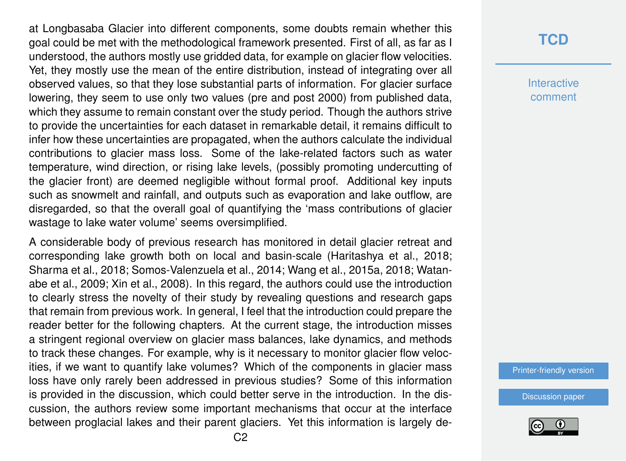at Longbasaba Glacier into different components, some doubts remain whether this goal could be met with the methodological framework presented. First of all, as far as I understood, the authors mostly use gridded data, for example on glacier flow velocities. Yet, they mostly use the mean of the entire distribution, instead of integrating over all observed values, so that they lose substantial parts of information. For glacier surface lowering, they seem to use only two values (pre and post 2000) from published data, which they assume to remain constant over the study period. Though the authors strive to provide the uncertainties for each dataset in remarkable detail, it remains difficult to infer how these uncertainties are propagated, when the authors calculate the individual contributions to glacier mass loss. Some of the lake-related factors such as water temperature, wind direction, or rising lake levels, (possibly promoting undercutting of the glacier front) are deemed negligible without formal proof. Additional key inputs such as snowmelt and rainfall, and outputs such as evaporation and lake outflow, are disregarded, so that the overall goal of quantifying the 'mass contributions of glacier wastage to lake water volume' seems oversimplified.

A considerable body of previous research has monitored in detail glacier retreat and corresponding lake growth both on local and basin-scale (Haritashya et al., 2018; Sharma et al., 2018; Somos-Valenzuela et al., 2014; Wang et al., 2015a, 2018; Watanabe et al., 2009; Xin et al., 2008). In this regard, the authors could use the introduction to clearly stress the novelty of their study by revealing questions and research gaps that remain from previous work. In general, I feel that the introduction could prepare the reader better for the following chapters. At the current stage, the introduction misses a stringent regional overview on glacier mass balances, lake dynamics, and methods to track these changes. For example, why is it necessary to monitor glacier flow velocities, if we want to quantify lake volumes? Which of the components in glacier mass loss have only rarely been addressed in previous studies? Some of this information is provided in the discussion, which could better serve in the introduction. In the discussion, the authors review some important mechanisms that occur at the interface between proglacial lakes and their parent glaciers. Yet this information is largely de-

### **[TCD](https://www.the-cryosphere-discuss.net/)**

**Interactive** comment

[Printer-friendly version](https://www.the-cryosphere-discuss.net/tc-2019-259/tc-2019-259-RC1-print.pdf)

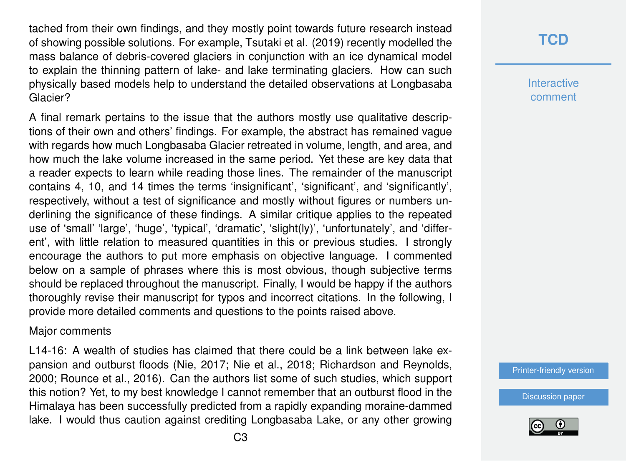tached from their own findings, and they mostly point towards future research instead of showing possible solutions. For example, Tsutaki et al. (2019) recently modelled the mass balance of debris-covered glaciers in conjunction with an ice dynamical model to explain the thinning pattern of lake- and lake terminating glaciers. How can such physically based models help to understand the detailed observations at Longbasaba Glacier?

A final remark pertains to the issue that the authors mostly use qualitative descriptions of their own and others' findings. For example, the abstract has remained vague with regards how much Longbasaba Glacier retreated in volume, length, and area, and how much the lake volume increased in the same period. Yet these are key data that a reader expects to learn while reading those lines. The remainder of the manuscript contains 4, 10, and 14 times the terms 'insignificant', 'significant', and 'significantly', respectively, without a test of significance and mostly without figures or numbers underlining the significance of these findings. A similar critique applies to the repeated use of 'small' 'large', 'huge', 'typical', 'dramatic', 'slight(ly)', 'unfortunately', and 'different', with little relation to measured quantities in this or previous studies. I strongly encourage the authors to put more emphasis on objective language. I commented below on a sample of phrases where this is most obvious, though subjective terms should be replaced throughout the manuscript. Finally, I would be happy if the authors thoroughly revise their manuscript for typos and incorrect citations. In the following, I provide more detailed comments and questions to the points raised above.

#### Major comments

L14-16: A wealth of studies has claimed that there could be a link between lake expansion and outburst floods (Nie, 2017; Nie et al., 2018; Richardson and Reynolds, 2000; Rounce et al., 2016). Can the authors list some of such studies, which support this notion? Yet, to my best knowledge I cannot remember that an outburst flood in the Himalaya has been successfully predicted from a rapidly expanding moraine-dammed lake. I would thus caution against crediting Longbasaba Lake, or any other growing

### **[TCD](https://www.the-cryosphere-discuss.net/)**

**Interactive** comment

[Printer-friendly version](https://www.the-cryosphere-discuss.net/tc-2019-259/tc-2019-259-RC1-print.pdf)

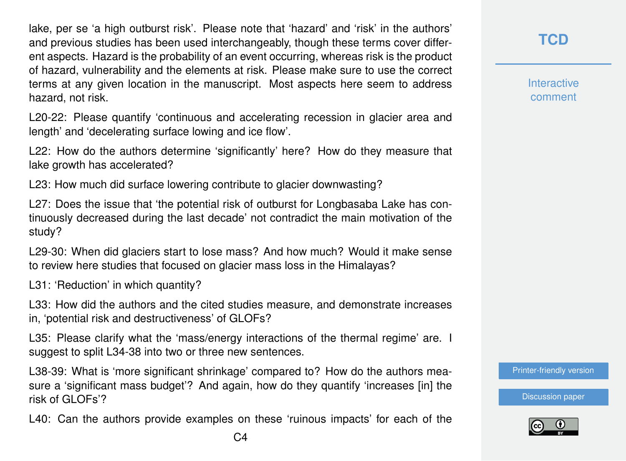lake, per se 'a high outburst risk'. Please note that 'hazard' and 'risk' in the authors' and previous studies has been used interchangeably, though these terms cover different aspects. Hazard is the probability of an event occurring, whereas risk is the product of hazard, vulnerability and the elements at risk. Please make sure to use the correct terms at any given location in the manuscript. Most aspects here seem to address hazard, not risk.

L20-22: Please quantify 'continuous and accelerating recession in glacier area and length' and 'decelerating surface lowing and ice flow'.

L22: How do the authors determine 'significantly' here? How do they measure that lake growth has accelerated?

L23: How much did surface lowering contribute to glacier downwasting?

L27: Does the issue that 'the potential risk of outburst for Longbasaba Lake has continuously decreased during the last decade' not contradict the main motivation of the study?

L29-30: When did glaciers start to lose mass? And how much? Would it make sense to review here studies that focused on glacier mass loss in the Himalayas?

L31: 'Reduction' in which quantity?

L33: How did the authors and the cited studies measure, and demonstrate increases in, 'potential risk and destructiveness' of GLOFs?

L35: Please clarify what the 'mass/energy interactions of the thermal regime' are. I suggest to split L34-38 into two or three new sentences.

L38-39: What is 'more significant shrinkage' compared to? How do the authors measure a 'significant mass budget'? And again, how do they quantify 'increases [in] the risk of GLOFs'?

L40: Can the authors provide examples on these 'ruinous impacts' for each of the

**[TCD](https://www.the-cryosphere-discuss.net/)**

**Interactive** comment

[Printer-friendly version](https://www.the-cryosphere-discuss.net/tc-2019-259/tc-2019-259-RC1-print.pdf)

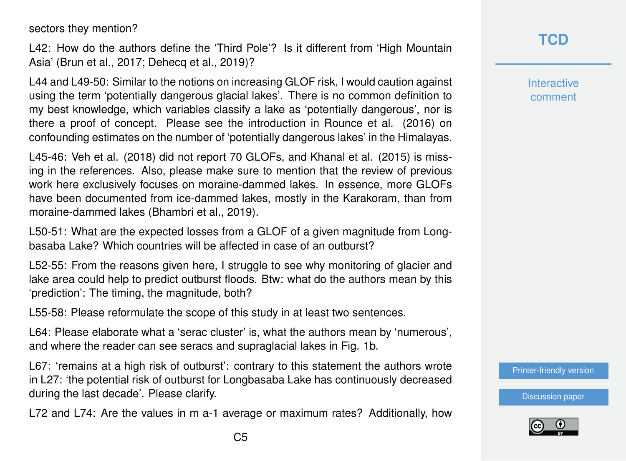sectors they mention?

L42: How do the authors define the 'Third Pole'? Is it different from 'High Mountain Asia' (Brun et al., 2017; Dehecq et al., 2019)?

L44 and L49-50: Similar to the notions on increasing GLOF risk, I would caution against using the term 'potentially dangerous glacial lakes'. There is no common definition to my best knowledge, which variables classify a lake as 'potentially dangerous', nor is there a proof of concept. Please see the introduction in Rounce et al. (2016) on confounding estimates on the number of 'potentially dangerous lakes' in the Himalayas.

L45-46: Veh et al. (2018) did not report 70 GLOFs, and Khanal et al. (2015) is missing in the references. Also, please make sure to mention that the review of previous work here exclusively focuses on moraine-dammed lakes. In essence, more GLOFs have been documented from ice-dammed lakes, mostly in the Karakoram, than from moraine-dammed lakes (Bhambri et al., 2019).

L50-51: What are the expected losses from a GLOF of a given magnitude from Longbasaba Lake? Which countries will be affected in case of an outburst?

L52-55: From the reasons given here, I struggle to see why monitoring of glacier and lake area could help to predict outburst floods. Btw: what do the authors mean by this 'prediction': The timing, the magnitude, both?

L55-58: Please reformulate the scope of this study in at least two sentences.

L64: Please elaborate what a 'serac cluster' is, what the authors mean by 'numerous', and where the reader can see seracs and supraglacial lakes in Fig. 1b.

L67: 'remains at a high risk of outburst': contrary to this statement the authors wrote in L27: 'the potential risk of outburst for Longbasaba Lake has continuously decreased during the last decade'. Please clarify.

L72 and L74: Are the values in m a-1 average or maximum rates? Additionally, how

### **[TCD](https://www.the-cryosphere-discuss.net/)**

**Interactive** comment

[Printer-friendly version](https://www.the-cryosphere-discuss.net/tc-2019-259/tc-2019-259-RC1-print.pdf)

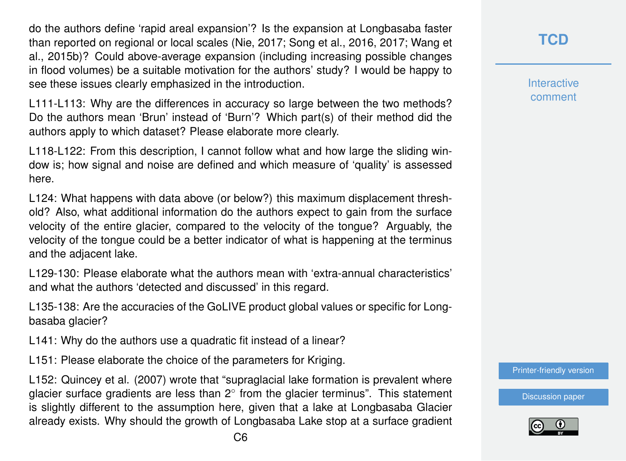do the authors define 'rapid areal expansion'? Is the expansion at Longbasaba faster than reported on regional or local scales (Nie, 2017; Song et al., 2016, 2017; Wang et al., 2015b)? Could above-average expansion (including increasing possible changes in flood volumes) be a suitable motivation for the authors' study? I would be happy to see these issues clearly emphasized in the introduction.

L111-L113: Why are the differences in accuracy so large between the two methods? Do the authors mean 'Brun' instead of 'Burn'? Which part(s) of their method did the authors apply to which dataset? Please elaborate more clearly.

L118-L122: From this description, I cannot follow what and how large the sliding window is; how signal and noise are defined and which measure of 'quality' is assessed here.

L124: What happens with data above (or below?) this maximum displacement threshold? Also, what additional information do the authors expect to gain from the surface velocity of the entire glacier, compared to the velocity of the tongue? Arguably, the velocity of the tongue could be a better indicator of what is happening at the terminus and the adjacent lake.

L129-130: Please elaborate what the authors mean with 'extra-annual characteristics' and what the authors 'detected and discussed' in this regard.

L135-138: Are the accuracies of the GoLIVE product global values or specific for Longbasaba glacier?

L141: Why do the authors use a quadratic fit instead of a linear?

L151: Please elaborate the choice of the parameters for Kriging.

L152: Quincey et al. (2007) wrote that "supraglacial lake formation is prevalent where glacier surface gradients are less than  $2^{\circ}$  from the glacier terminus". This statement is slightly different to the assumption here, given that a lake at Longbasaba Glacier already exists. Why should the growth of Longbasaba Lake stop at a surface gradient **[TCD](https://www.the-cryosphere-discuss.net/)**

**Interactive** comment

[Printer-friendly version](https://www.the-cryosphere-discuss.net/tc-2019-259/tc-2019-259-RC1-print.pdf)

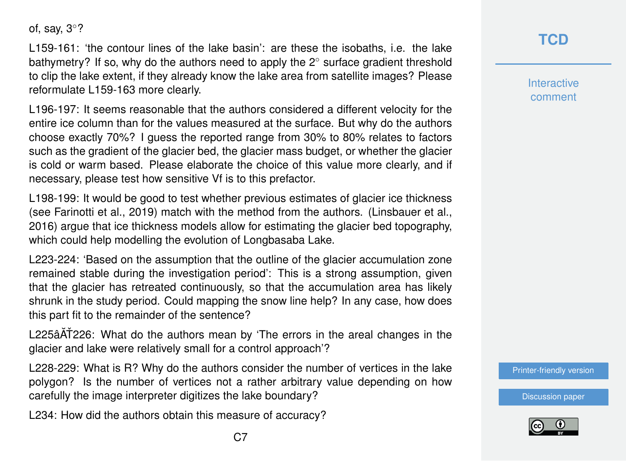of, say, 3◦?

L159-161: 'the contour lines of the lake basin': are these the isobaths, i.e. the lake bathymetry? If so, why do the authors need to apply the 2◦ surface gradient threshold to clip the lake extent, if they already know the lake area from satellite images? Please reformulate L159-163 more clearly.

L196-197: It seems reasonable that the authors considered a different velocity for the entire ice column than for the values measured at the surface. But why do the authors choose exactly 70%? I guess the reported range from 30% to 80% relates to factors such as the gradient of the glacier bed, the glacier mass budget, or whether the glacier is cold or warm based. Please elaborate the choice of this value more clearly, and if necessary, please test how sensitive Vf is to this prefactor.

L198-199: It would be good to test whether previous estimates of glacier ice thickness (see Farinotti et al., 2019) match with the method from the authors. (Linsbauer et al., 2016) argue that ice thickness models allow for estimating the glacier bed topography, which could help modelling the evolution of Longbasaba Lake.

L223-224: 'Based on the assumption that the outline of the glacier accumulation zone remained stable during the investigation period': This is a strong assumption, given that the glacier has retreated continuously, so that the accumulation area has likely shrunk in the study period. Could mapping the snow line help? In any case, how does this part fit to the remainder of the sentence?

L225âAT226: What do the authors mean by 'The errors in the areal changes in the glacier and lake were relatively small for a control approach'?

L228-229: What is R? Why do the authors consider the number of vertices in the lake polygon? Is the number of vertices not a rather arbitrary value depending on how carefully the image interpreter digitizes the lake boundary?

L234: How did the authors obtain this measure of accuracy?

**Interactive** comment

[Printer-friendly version](https://www.the-cryosphere-discuss.net/tc-2019-259/tc-2019-259-RC1-print.pdf)

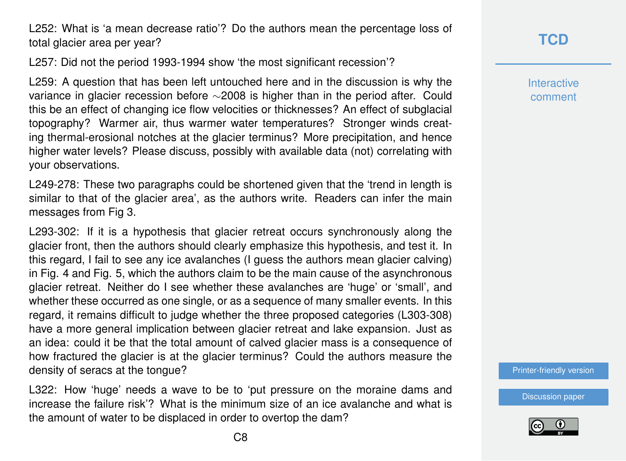L252: What is 'a mean decrease ratio'? Do the authors mean the percentage loss of total glacier area per year?

L257: Did not the period 1993-1994 show 'the most significant recession'?

L259: A question that has been left untouched here and in the discussion is why the variance in glacier recession before ∼2008 is higher than in the period after. Could this be an effect of changing ice flow velocities or thicknesses? An effect of subglacial topography? Warmer air, thus warmer water temperatures? Stronger winds creating thermal-erosional notches at the glacier terminus? More precipitation, and hence higher water levels? Please discuss, possibly with available data (not) correlating with your observations.

L249-278: These two paragraphs could be shortened given that the 'trend in length is similar to that of the glacier area', as the authors write. Readers can infer the main messages from Fig 3.

L293-302: If it is a hypothesis that glacier retreat occurs synchronously along the glacier front, then the authors should clearly emphasize this hypothesis, and test it. In this regard, I fail to see any ice avalanches (I guess the authors mean glacier calving) in Fig. 4 and Fig. 5, which the authors claim to be the main cause of the asynchronous glacier retreat. Neither do I see whether these avalanches are 'huge' or 'small', and whether these occurred as one single, or as a sequence of many smaller events. In this regard, it remains difficult to judge whether the three proposed categories (L303-308) have a more general implication between glacier retreat and lake expansion. Just as an idea: could it be that the total amount of calved glacier mass is a consequence of how fractured the glacier is at the glacier terminus? Could the authors measure the density of seracs at the tongue?

L322: How 'huge' needs a wave to be to 'put pressure on the moraine dams and increase the failure risk'? What is the minimum size of an ice avalanche and what is the amount of water to be displaced in order to overtop the dam?

**[TCD](https://www.the-cryosphere-discuss.net/)**

**Interactive** comment

[Printer-friendly version](https://www.the-cryosphere-discuss.net/tc-2019-259/tc-2019-259-RC1-print.pdf)

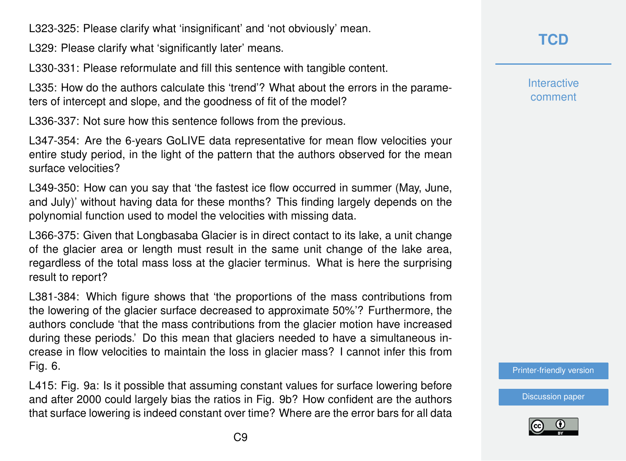L323-325: Please clarify what 'insignificant' and 'not obviously' mean.

L329: Please clarify what 'significantly later' means.

L330-331: Please reformulate and fill this sentence with tangible content.

L335: How do the authors calculate this 'trend'? What about the errors in the parameters of intercept and slope, and the goodness of fit of the model?

L336-337: Not sure how this sentence follows from the previous.

L347-354: Are the 6-years GoLIVE data representative for mean flow velocities your entire study period, in the light of the pattern that the authors observed for the mean surface velocities?

L349-350: How can you say that 'the fastest ice flow occurred in summer (May, June, and July)' without having data for these months? This finding largely depends on the polynomial function used to model the velocities with missing data.

L366-375: Given that Longbasaba Glacier is in direct contact to its lake, a unit change of the glacier area or length must result in the same unit change of the lake area, regardless of the total mass loss at the glacier terminus. What is here the surprising result to report?

L381-384: Which figure shows that 'the proportions of the mass contributions from the lowering of the glacier surface decreased to approximate 50%'? Furthermore, the authors conclude 'that the mass contributions from the glacier motion have increased during these periods.' Do this mean that glaciers needed to have a simultaneous increase in flow velocities to maintain the loss in glacier mass? I cannot infer this from Fig. 6.

L415: Fig. 9a: Is it possible that assuming constant values for surface lowering before and after 2000 could largely bias the ratios in Fig. 9b? How confident are the authors that surface lowering is indeed constant over time? Where are the error bars for all data **[TCD](https://www.the-cryosphere-discuss.net/)**

**Interactive** comment

[Printer-friendly version](https://www.the-cryosphere-discuss.net/tc-2019-259/tc-2019-259-RC1-print.pdf)

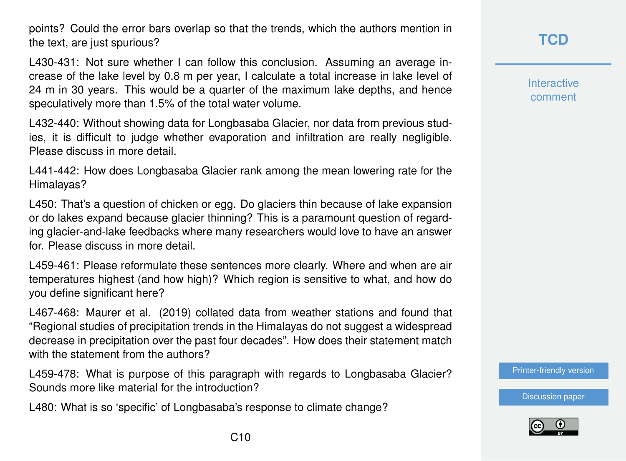points? Could the error bars overlap so that the trends, which the authors mention in the text, are just spurious?

L430-431: Not sure whether I can follow this conclusion. Assuming an average increase of the lake level by 0.8 m per year, I calculate a total increase in lake level of 24 m in 30 years. This would be a quarter of the maximum lake depths, and hence speculatively more than 1.5% of the total water volume.

L432-440: Without showing data for Longbasaba Glacier, nor data from previous studies, it is difficult to judge whether evaporation and infiltration are really negligible. Please discuss in more detail.

L441-442: How does Longbasaba Glacier rank among the mean lowering rate for the Himalayas?

L450: That's a question of chicken or egg. Do glaciers thin because of lake expansion or do lakes expand because glacier thinning? This is a paramount question of regarding glacier-and-lake feedbacks where many researchers would love to have an answer for. Please discuss in more detail.

L459-461: Please reformulate these sentences more clearly. Where and when are air temperatures highest (and how high)? Which region is sensitive to what, and how do you define significant here?

L467-468: Maurer et al. (2019) collated data from weather stations and found that "Regional studies of precipitation trends in the Himalayas do not suggest a widespread decrease in precipitation over the past four decades". How does their statement match with the statement from the authors?

L459-478: What is purpose of this paragraph with regards to Longbasaba Glacier? Sounds more like material for the introduction?

L480: What is so 'specific' of Longbasaba's response to climate change?

**Interactive** comment

[Printer-friendly version](https://www.the-cryosphere-discuss.net/tc-2019-259/tc-2019-259-RC1-print.pdf)

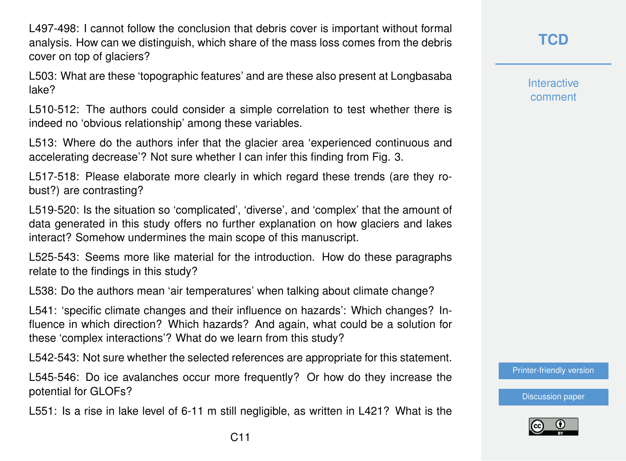L497-498: I cannot follow the conclusion that debris cover is important without formal analysis. How can we distinguish, which share of the mass loss comes from the debris cover on top of glaciers?

L503: What are these 'topographic features' and are these also present at Longbasaba lake?

L510-512: The authors could consider a simple correlation to test whether there is indeed no 'obvious relationship' among these variables.

L513: Where do the authors infer that the glacier area 'experienced continuous and accelerating decrease'? Not sure whether I can infer this finding from Fig. 3.

L517-518: Please elaborate more clearly in which regard these trends (are they robust?) are contrasting?

L519-520: Is the situation so 'complicated', 'diverse', and 'complex' that the amount of data generated in this study offers no further explanation on how glaciers and lakes interact? Somehow undermines the main scope of this manuscript.

L525-543: Seems more like material for the introduction. How do these paragraphs relate to the findings in this study?

L538: Do the authors mean 'air temperatures' when talking about climate change?

L541: 'specific climate changes and their influence on hazards': Which changes? Influence in which direction? Which hazards? And again, what could be a solution for these 'complex interactions'? What do we learn from this study?

L542-543: Not sure whether the selected references are appropriate for this statement.

L545-546: Do ice avalanches occur more frequently? Or how do they increase the potential for GLOFs?

L551: Is a rise in lake level of 6-11 m still negligible, as written in L421? What is the

**[TCD](https://www.the-cryosphere-discuss.net/)**

**Interactive** comment

[Printer-friendly version](https://www.the-cryosphere-discuss.net/tc-2019-259/tc-2019-259-RC1-print.pdf)

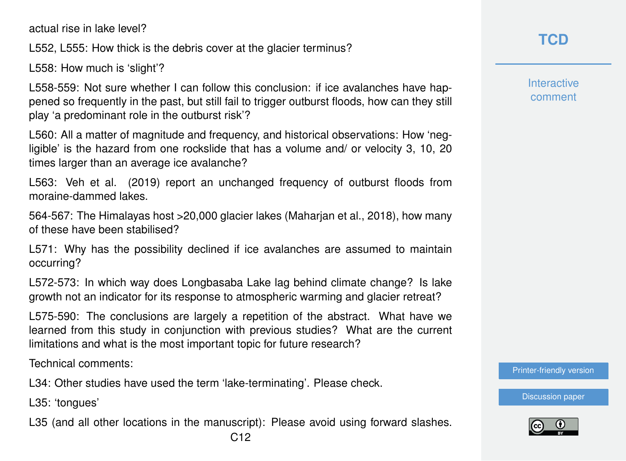actual rise in lake level?

L552, L555: How thick is the debris cover at the glacier terminus?

L558: How much is 'slight'?

L558-559: Not sure whether I can follow this conclusion: if ice avalanches have happened so frequently in the past, but still fail to trigger outburst floods, how can they still play 'a predominant role in the outburst risk'?

L560: All a matter of magnitude and frequency, and historical observations: How 'negligible' is the hazard from one rockslide that has a volume and/ or velocity 3, 10, 20 times larger than an average ice avalanche?

L563: Veh et al. (2019) report an unchanged frequency of outburst floods from moraine-dammed lakes.

564-567: The Himalayas host >20,000 glacier lakes (Maharjan et al., 2018), how many of these have been stabilised?

L571: Why has the possibility declined if ice avalanches are assumed to maintain occurring?

L572-573: In which way does Longbasaba Lake lag behind climate change? Is lake growth not an indicator for its response to atmospheric warming and glacier retreat?

L575-590: The conclusions are largely a repetition of the abstract. What have we learned from this study in conjunction with previous studies? What are the current limitations and what is the most important topic for future research?

Technical comments:

L34: Other studies have used the term 'lake-terminating'. Please check.

L35: 'tongues'

L35 (and all other locations in the manuscript): Please avoid using forward slashes.

**Interactive** comment

[Printer-friendly version](https://www.the-cryosphere-discuss.net/tc-2019-259/tc-2019-259-RC1-print.pdf)

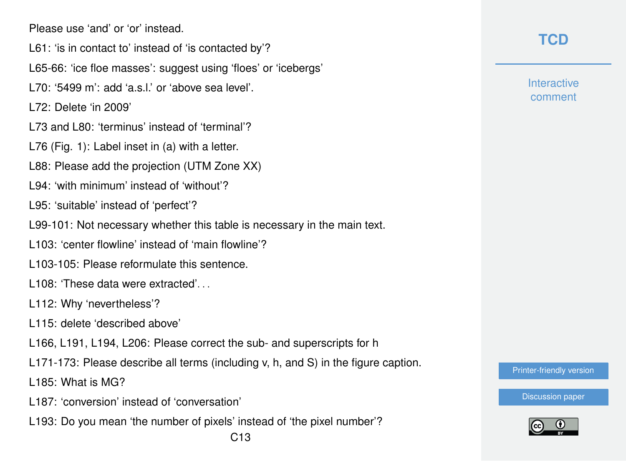Please use 'and' or 'or' instead.

- L61: 'is in contact to' instead of 'is contacted by'?
- L65-66: 'ice floe masses': suggest using 'floes' or 'icebergs'
- $170: 5499$  m': add 'a s l' or 'above sea level'.

L72: Delete 'in 2009'

- L73 and L80: 'terminus' instead of 'terminal'?
- L76 (Fig. 1): Label inset in (a) with a letter.
- L88: Please add the projection (UTM Zone XX)
- L94: 'with minimum' instead of 'without'?
- L95: 'suitable' instead of 'perfect'?
- L99-101: Not necessary whether this table is necessary in the main text.
- L103: 'center flowline' instead of 'main flowline'?
- L103-105: Please reformulate this sentence.
- L108: 'These data were extracted'...
- L112: Why 'nevertheless'?
- L115: delete 'described above'
- L166, L191, L194, L206: Please correct the sub- and superscripts for h
- L171-173: Please describe all terms (including v, h, and S) in the figure caption.
- L185: What is MG?
- L187: 'conversion' instead of 'conversation'
- L193: Do you mean 'the number of pixels' instead of 'the pixel number'?

## **[TCD](https://www.the-cryosphere-discuss.net/)**

**Interactive** comment

[Printer-friendly version](https://www.the-cryosphere-discuss.net/tc-2019-259/tc-2019-259-RC1-print.pdf)

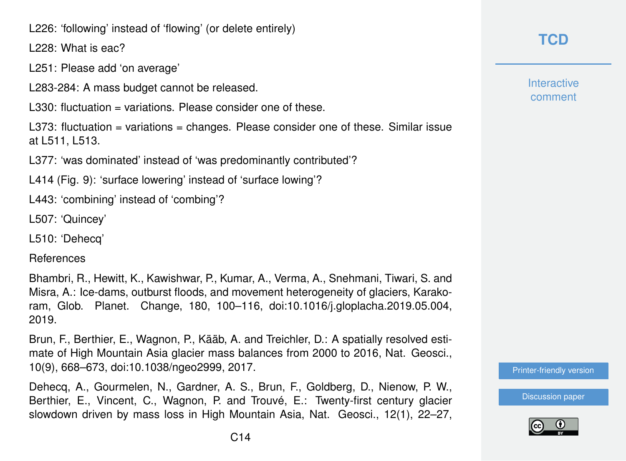L226: 'following' instead of 'flowing' (or delete entirely)

L228: What is eac?

L251: Please add 'on average'

L283-284: A mass budget cannot be released.

L330: fluctuation = variations. Please consider one of these.

L373: fluctuation = variations = changes. Please consider one of these. Similar issue at L511, L513.

L377: 'was dominated' instead of 'was predominantly contributed'?

L414 (Fig. 9): 'surface lowering' instead of 'surface lowing'?

L443: 'combining' instead of 'combing'?

L507: 'Quincey'

L510: 'Dehecq'

References

Bhambri, R., Hewitt, K., Kawishwar, P., Kumar, A., Verma, A., Snehmani, Tiwari, S. and Misra, A.: Ice-dams, outburst floods, and movement heterogeneity of glaciers, Karakoram, Glob. Planet. Change, 180, 100–116, doi:10.1016/j.gloplacha.2019.05.004, 2019.

Brun, F., Berthier, E., Wagnon, P., Kääb, A. and Treichler, D.: A spatially resolved estimate of High Mountain Asia glacier mass balances from 2000 to 2016, Nat. Geosci., 10(9), 668–673, doi:10.1038/ngeo2999, 2017.

Dehecq, A., Gourmelen, N., Gardner, A. S., Brun, F., Goldberg, D., Nienow, P. W., Berthier, E., Vincent, C., Wagnon, P. and Trouvé, E.: Twenty-first century glacier slowdown driven by mass loss in High Mountain Asia, Nat. Geosci., 12(1), 22–27, **Interactive** comment

[Printer-friendly version](https://www.the-cryosphere-discuss.net/tc-2019-259/tc-2019-259-RC1-print.pdf)

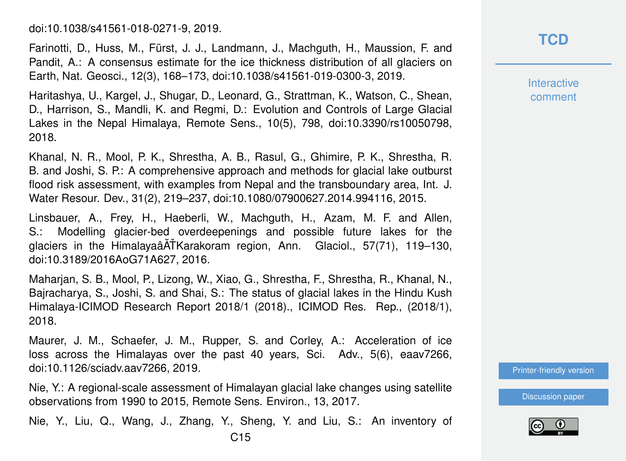doi:10.1038/s41561-018-0271-9, 2019.

Farinotti, D., Huss, M., Fürst, J. J., Landmann, J., Machguth, H., Maussion, F. and Pandit, A.: A consensus estimate for the ice thickness distribution of all glaciers on Earth, Nat. Geosci., 12(3), 168–173, doi:10.1038/s41561-019-0300-3, 2019.

Haritashya, U., Kargel, J., Shugar, D., Leonard, G., Strattman, K., Watson, C., Shean, D., Harrison, S., Mandli, K. and Regmi, D.: Evolution and Controls of Large Glacial Lakes in the Nepal Himalaya, Remote Sens., 10(5), 798, doi:10.3390/rs10050798, 2018.

Khanal, N. R., Mool, P. K., Shrestha, A. B., Rasul, G., Ghimire, P. K., Shrestha, R. B. and Joshi, S. P.: A comprehensive approach and methods for glacial lake outburst flood risk assessment, with examples from Nepal and the transboundary area, Int. J. Water Resour. Dev., 31(2), 219–237, doi:10.1080/07900627.2014.994116, 2015.

Linsbauer, A., Frey, H., Haeberli, W., Machguth, H., Azam, M. F. and Allen, S.: Modelling glacier-bed overdeepenings and possible future lakes for the glaciers in the Himalayaâ $\tilde{A}$ TKarakoram region, Ann. Glaciol., 57(71), 119–130, doi:10.3189/2016AoG71A627, 2016.

Maharjan, S. B., Mool, P., Lizong, W., Xiao, G., Shrestha, F., Shrestha, R., Khanal, N., Bajracharya, S., Joshi, S. and Shai, S.: The status of glacial lakes in the Hindu Kush Himalaya-ICIMOD Research Report 2018/1 (2018)., ICIMOD Res. Rep., (2018/1), 2018.

Maurer, J. M., Schaefer, J. M., Rupper, S. and Corley, A.: Acceleration of ice loss across the Himalayas over the past 40 years, Sci. Adv., 5(6), eaav7266, doi:10.1126/sciadv.aav7266, 2019.

Nie, Y.: A regional-scale assessment of Himalayan glacial lake changes using satellite observations from 1990 to 2015, Remote Sens. Environ., 13, 2017.

Nie, Y., Liu, Q., Wang, J., Zhang, Y., Sheng, Y. and Liu, S.: An inventory of

**Interactive** comment

[Printer-friendly version](https://www.the-cryosphere-discuss.net/tc-2019-259/tc-2019-259-RC1-print.pdf)

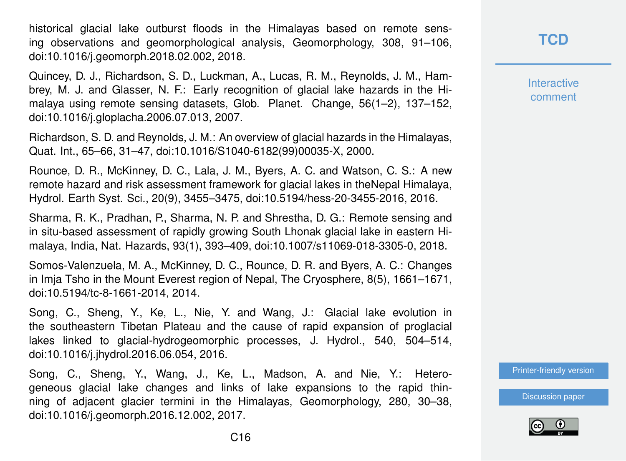historical glacial lake outburst floods in the Himalayas based on remote sensing observations and geomorphological analysis, Geomorphology, 308, 91–106, doi:10.1016/j.geomorph.2018.02.002, 2018.

Quincey, D. J., Richardson, S. D., Luckman, A., Lucas, R. M., Reynolds, J. M., Hambrey, M. J. and Glasser, N. F.: Early recognition of glacial lake hazards in the Himalaya using remote sensing datasets, Glob. Planet. Change, 56(1–2), 137–152, doi:10.1016/j.gloplacha.2006.07.013, 2007.

Richardson, S. D. and Reynolds, J. M.: An overview of glacial hazards in the Himalayas, Quat. Int., 65–66, 31–47, doi:10.1016/S1040-6182(99)00035-X, 2000.

Rounce, D. R., McKinney, D. C., Lala, J. M., Byers, A. C. and Watson, C. S.: A new remote hazard and risk assessment framework for glacial lakes in theNepal Himalaya, Hydrol. Earth Syst. Sci., 20(9), 3455–3475, doi:10.5194/hess-20-3455-2016, 2016.

Sharma, R. K., Pradhan, P., Sharma, N. P. and Shrestha, D. G.: Remote sensing and in situ-based assessment of rapidly growing South Lhonak glacial lake in eastern Himalaya, India, Nat. Hazards, 93(1), 393–409, doi:10.1007/s11069-018-3305-0, 2018.

Somos-Valenzuela, M. A., McKinney, D. C., Rounce, D. R. and Byers, A. C.: Changes in Imja Tsho in the Mount Everest region of Nepal, The Cryosphere, 8(5), 1661–1671, doi:10.5194/tc-8-1661-2014, 2014.

Song, C., Sheng, Y., Ke, L., Nie, Y. and Wang, J.: Glacial lake evolution in the southeastern Tibetan Plateau and the cause of rapid expansion of proglacial lakes linked to glacial-hydrogeomorphic processes, J. Hydrol., 540, 504–514, doi:10.1016/j.jhydrol.2016.06.054, 2016.

Song, C., Sheng, Y., Wang, J., Ke, L., Madson, A. and Nie, Y.: Heterogeneous glacial lake changes and links of lake expansions to the rapid thinning of adjacent glacier termini in the Himalayas, Geomorphology, 280, 30–38, doi:10.1016/j.geomorph.2016.12.002, 2017.

Interactive comment

[Printer-friendly version](https://www.the-cryosphere-discuss.net/tc-2019-259/tc-2019-259-RC1-print.pdf)

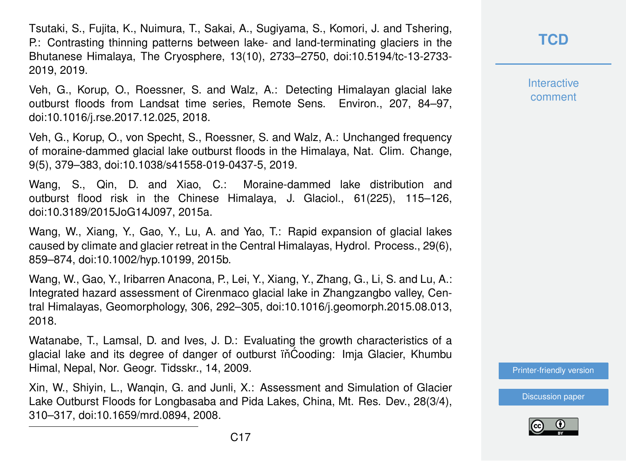Tsutaki, S., Fujita, K., Nuimura, T., Sakai, A., Sugiyama, S., Komori, J. and Tshering, P.: Contrasting thinning patterns between lake- and land-terminating glaciers in the Bhutanese Himalaya, The Cryosphere, 13(10), 2733–2750, doi:10.5194/tc-13-2733- 2019, 2019.

Veh, G., Korup, O., Roessner, S. and Walz, A.: Detecting Himalayan glacial lake outburst floods from Landsat time series, Remote Sens. Environ., 207, 84–97, doi:10.1016/j.rse.2017.12.025, 2018.

Veh, G., Korup, O., von Specht, S., Roessner, S. and Walz, A.: Unchanged frequency of moraine-dammed glacial lake outburst floods in the Himalaya, Nat. Clim. Change, 9(5), 379–383, doi:10.1038/s41558-019-0437-5, 2019.

Wang, S., Qin, D. and Xiao, C.: Moraine-dammed lake distribution and outburst flood risk in the Chinese Himalaya, J. Glaciol., 61(225), 115–126, doi:10.3189/2015JoG14J097, 2015a.

Wang, W., Xiang, Y., Gao, Y., Lu, A. and Yao, T.: Rapid expansion of glacial lakes caused by climate and glacier retreat in the Central Himalayas, Hydrol. Process., 29(6), 859–874, doi:10.1002/hyp.10199, 2015b.

Wang, W., Gao, Y., Iribarren Anacona, P., Lei, Y., Xiang, Y., Zhang, G., Li, S. and Lu, A.: Integrated hazard assessment of Cirenmaco glacial lake in Zhangzangbo valley, Central Himalayas, Geomorphology, 306, 292–305, doi:10.1016/j.geomorph.2015.08.013, 2018.

Watanabe, T., Lamsal, D. and Ives, J. D.: Evaluating the growth characteristics of a glacial lake and its degree of danger of outburst iñĆooding: Imja Glacier, Khumbu Himal, Nepal, Nor. Geogr. Tidsskr., 14, 2009.

Xin, W., Shiyin, L., Wanqin, G. and Junli, X.: Assessment and Simulation of Glacier Lake Outburst Floods for Longbasaba and Pida Lakes, China, Mt. Res. Dev., 28(3/4), 310–317, doi:10.1659/mrd.0894, 2008.

**[TCD](https://www.the-cryosphere-discuss.net/)**

**Interactive** comment

[Printer-friendly version](https://www.the-cryosphere-discuss.net/tc-2019-259/tc-2019-259-RC1-print.pdf)